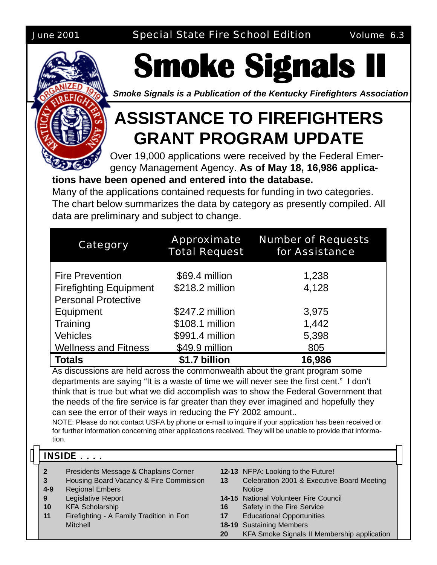

# **Smoke Signals II Smoke Signals II Smoke Signals II**

*Smoke Signals is a Publication of the Kentucky Firefighters Association*

## **ASSISTANCE TO FIREFIGHTERS GRANT PROGRAM UPDATE**

Over 19,000 applications were received by the Federal Emergency Management Agency. **As of May 18, 16,986 applica-**

#### **tions have been opened and entered into the database.**

Many of the applications contained requests for funding in two categories. The chart below summarizes the data by category as presently compiled. All data are preliminary and subject to change.

| Category                      | <b>Approximate</b><br><b>Total Request</b> | <b>Number of Requests</b><br>for Assistance |
|-------------------------------|--------------------------------------------|---------------------------------------------|
| <b>Fire Prevention</b>        | \$69.4 million                             | 1,238                                       |
| <b>Firefighting Equipment</b> | \$218.2 million                            | 4,128                                       |
| <b>Personal Protective</b>    |                                            |                                             |
| Equipment                     | \$247.2 million                            | 3,975                                       |
| Training                      | \$108.1 million                            | 1,442                                       |
| <b>Vehicles</b>               | \$991.4 million                            | 5,398                                       |
| <b>Wellness and Fitness</b>   | \$49.9 million                             | 805                                         |
| <b>Totals</b>                 | \$1.7 billion                              | 16,986                                      |

As discussions are held across the commonwealth about the grant program some departments are saying "It is a waste of time we will never see the first cent." I don't think that is true but what we did accomplish was to show the Federal Government that the needs of the fire service is far greater than they ever imagined and hopefully they can see the error of their ways in reducing the FY 2002 amount..

NOTE: Please do not contact USFA by phone or e-mail to inquire if your application has been received or for further information concerning other applications received. They will be unable to provide that information.

#### $INSIDE$  . . . .

- **2** Presidents Message & Chaplains Corner
- **3** Housing Board Vacancy & Fire Commission
- **4-9** Regional Embers
- **9** Legislative Report
- **10** KFA Scholarship
- **11** Firefighting A Family Tradition in Fort **Mitchell**
- **12-13** NFPA: Looking to the Future!
- **13** Celebration 2001 & Executive Board Meeting **Notice**
- **14-15** National Volunteer Fire Council
- **16** Safety in the Fire Service
- **17** Educational Opportunities
- **18-19** Sustaining Members
- **20** KFA Smoke Signals II Membership application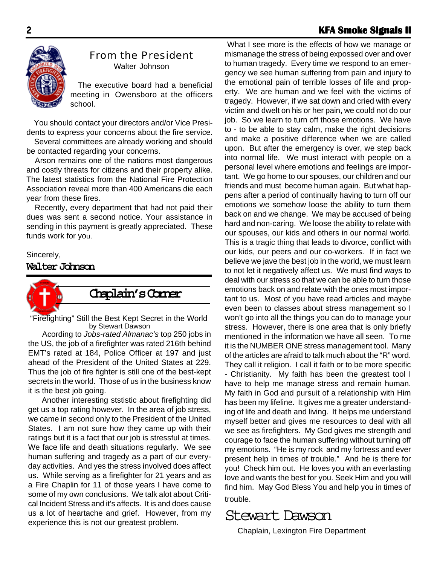#### 2 **KFA Smoke Signals II KFA Smoke Signals II**



#### From the President

Walter Johnson

The executive board had a beneficial meeting in Owensboro at the officers school.

 You should contact your directors and/or Vice Presidents to express your concerns about the fire service.

 Several committees are already working and should be contacted regarding your concerns.

 Arson remains one of the nations most dangerous and costly threats for citizens and their property alike. The latest statistics from the National Fire Protection Association reveal more than 400 Americans die each year from these fires.

 Recently, every department that had not paid their dues was sent a second notice. Your assistance in sending in this payment is greatly appreciated. These funds work for you.

#### Sincerely,

#### **Walter Johnson**



#### **Chaplain's Corner**

by Stewart Dawson "Firefighting" Still the Best Kept Secret in the World

 Acording to *Jobs-rated Almanac's* top 250 jobs in the US, the job of a firefighter was rated 216th behind EMT's rated at 184, Police Officer at 197 and just ahead of the President of the United States at 229. Thus the job of fire fighter is still one of the best-kept secrets in the world. Those of us in the business know it is the best job going.

 Another interesting ststistic about firefighting did get us a top rating however. In the area of job stress, we came in second only to the President of the United States. I am not sure how they came up with their ratings but it is a fact that our job is stressful at times. We face life and death situations regularly. We see human suffering and tragedy as a part of our everyday activities. And yes the stress involved does affect us. While serving as a firefighter for 21 years and as a Fire Chaplin for 11 of those years I have come to some of my own conclusions. We talk alot about Critical Incident Stress and it's affects. It is and does cause us a lot of heartache and grief. However, from my experience this is not our greatest problem.

 What I see more is the effects of how we manage or mismanage the stress of being expossed over and over to human tragedy. Every time we respond to an emergency we see human suffering from pain and injury to the emotional pain of terrible losses of life and property. We are human and we feel with the victims of tragedy. However, if we sat down and cried with every victim and dwelt on his or her pain, we could not do our job. So we learn to turn off those emotions. We have to - to be able to stay calm, make the right decisions and make a positive difference when we are called upon. But after the emergency is over, we step back into normal life. We must interact with people on a personal level where emotions and feelings are important. We go home to our spouses, our children and our friends and must become human again. But what happens after a period of continually having to turn off our emotions we somehow loose the ability to turn them back on and we change. We may be accused of being hard and non-caring. We loose the ability to relate with our spouses, our kids and others in our normal world. This is a tragic thing that leads to divorce, conflict with our kids, our peers and our co-workers. If in fact we believe we jave the best job in the world, we must learn to not let it negatively affect us. We must find ways to deal with our stress so that we can be able to turn those emotions back on and relate with the ones most important to us. Most of you have read articles and maybe even been to classes about stress management so I won't go into all the things you can do to manage your stress. However, there is one area that is only briefly mentioned in the information we have all seen. To me it is the NUMBER ONE stress management tool. Many of the articles are afraid to talk much about the "R" word. They call it religion. I call it faith or to be more specific - Christianity. My faith has been the greatest tool I have to help me manage stress and remain human. My faith in God and pursuit of a relationship with Him has been my lifeline. It gives me a greater understanding of life and death and living. It helps me understand myself better and gives me resources to deal with all we see as firefighters. My God gives me strength and courage to face the human suffering without turning off my emotions. "He is my rock and my fortress and ever present help in times of trouble." And he is there for you! Check him out. He loves you with an everlasting love and wants the best for you. Seek Him and you will find him. May God Bless You and help you in times of trouble.



Chaplain, Lexington Fire Department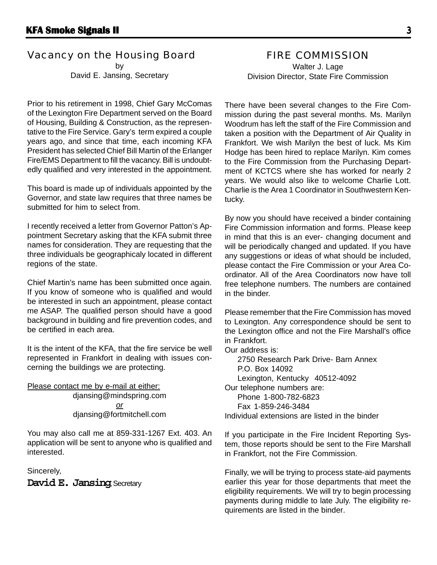#### Vacancy on the Housing Board

by David E. Jansing, Secretary

Prior to his retirement in 1998, Chief Gary McComas of the Lexington Fire Department served on the Board of Housing, Building & Construction, as the representative to the Fire Service. Gary's term expired a couple years ago, and since that time, each incoming KFA President has selected Chief Bill Martin of the Erlanger Fire/EMS Department to fill the vacancy. Bill is undoubtedly qualified and very interested in the appointment.

This board is made up of individuals appointed by the Governor, and state law requires that three names be submitted for him to select from.

I recently received a letter from Governor Patton's Appointment Secretary asking that the KFA submit three names for consideration. They are requesting that the three individuals be geographicaly located in different regions of the state.

Chief Martin's name has been submitted once again. If you know of someone who is qualified and would be interested in such an appointment, please contact me ASAP. The qualified person should have a good background in building and fire prevention codes, and be certified in each area.

It is the intent of the KFA, that the fire service be well represented in Frankfort in dealing with issues concerning the buildings we are protecting.

Please contact me by e-mail at either: djansing@mindspring.com *or* djansing@fortmitchell.com

You may also call me at 859-331-1267 Ext. 403. An application will be sent to anyone who is qualified and interested.

Sincerely,

**David E. Jansing**, Secretary

#### FIRE COMMISSION

Walter J. Lage Division Director, State Fire Commission

There have been several changes to the Fire Commission during the past several months. Ms. Marilyn Woodrum has left the staff of the Fire Commission and taken a position with the Department of Air Quality in Frankfort. We wish Marilyn the best of luck. Ms Kim Hodge has been hired to replace Marilyn. Kim comes to the Fire Commission from the Purchasing Department of KCTCS where she has worked for nearly 2 years. We would also like to welcome Charlie Lott. Charlie is the Area 1 Coordinator in Southwestern Kentucky.

By now you should have received a binder containing Fire Commission information and forms. Please keep in mind that this is an ever- changing document and will be periodically changed and updated. If you have any suggestions or ideas of what should be included, please contact the Fire Commission or your Area Coordinator. All of the Area Coordinators now have toll free telephone numbers. The numbers are contained in the binder.

Please remember that the Fire Commission has moved to Lexington. Any correspondence should be sent to the Lexington office and not the Fire Marshall's office in Frankfort.

Our address is:

2750 Research Park Drive- Barn Annex P.O. Box 14092 Lexington, Kentucky 40512-4092 Our telephone numbers are: Phone 1-800-782-6823 Fax 1-859-246-3484 Individual extensions are listed in the binder

If you participate in the Fire Incident Reporting System, those reports should be sent to the Fire Marshall in Frankfort, not the Fire Commission.

Finally, we will be trying to process state-aid payments earlier this year for those departments that meet the eligibility requirements. We will try to begin processing payments during middle to late July. The eligibility requirements are listed in the binder.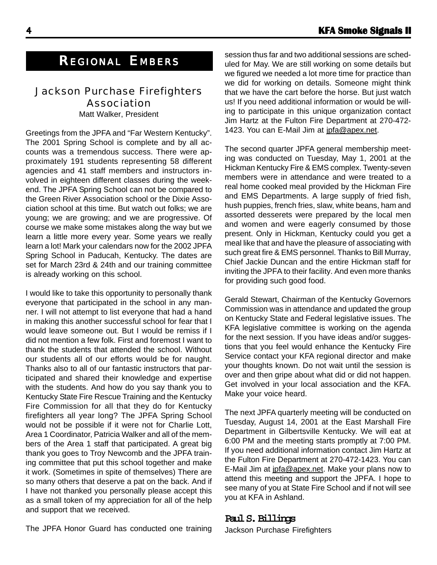#### Jackson Purchase Firefighters Association

Matt Walker, President

Greetings from the JPFA and "Far Western Kentucky". The 2001 Spring School is complete and by all accounts was a tremendous success. There were approximately 191 students representing 58 different agencies and 41 staff members and instructors involved in eighteen different classes during the weekend. The JPFA Spring School can not be compared to the Green River Association school or the Dixie Association school at this time. But watch out folks; we are young; we are growing; and we are progressive. Of course we make some mistakes along the way but we learn a little more every year. Some years we really learn a lot! Mark your calendars now for the 2002 JPFA Spring School in Paducah, Kentucky. The dates are set for March 23rd & 24th and our training committee is already working on this school.

I would like to take this opportunity to personally thank everyone that participated in the school in any manner. I will not attempt to list everyone that had a hand in making this another successful school for fear that I would leave someone out. But I would be remiss if I did not mention a few folk. First and foremost I want to thank the students that attended the school. Without our students all of our efforts would be for naught. Thanks also to all of our fantastic instructors that participated and shared their knowledge and expertise with the students. And how do you say thank you to Kentucky State Fire Rescue Training and the Kentucky Fire Commission for all that they do for Kentucky firefighters all year long? The JPFA Spring School would not be possible if it were not for Charlie Lott, Area 1 Coordinator, Patricia Walker and all of the members of the Area 1 staff that participated. A great big thank you goes to Troy Newcomb and the JPFA training committee that put this school together and make it work. (Sometimes in spite of themselves) There are so many others that deserve a pat on the back. And if I have not thanked you personally please accept this as a small token of my appreciation for all of the help and support that we received.

session thus far and two additional sessions are scheduled for May. We are still working on some details but we figured we needed a lot more time for practice than we did for working on details. Someone might think that we have the cart before the horse. But just watch us! If you need additional information or would be willing to participate in this unique organization contact Jim Hartz at the Fulton Fire Department at 270-472- 1423. You can E-Mail Jim at jpfa@apex.net.

The second quarter JPFA general membership meeting was conducted on Tuesday, May 1, 2001 at the Hickman Kentucky Fire & EMS complex. Twenty-seven members were in attendance and were treated to a real home cooked meal provided by the Hickman Fire and EMS Departments. A large supply of fried fish, hush puppies, french fries, slaw, white beans, ham and assorted desserets were prepared by the local men and women and were eagerly consumed by those present. Only in Hickman, Kentucky could you get a meal like that and have the pleasure of associating with such great fire & EMS personnel. Thanks to Bill Murray, Chief Jackie Duncan and the entire Hickman staff for inviting the JPFA to their facility. And even more thanks for providing such good food.

Gerald Stewart, Chairman of the Kentucky Governors Commission was in attendance and updated the group on Kentucky State and Federal legislative issues. The KFA legislative committee is working on the agenda for the next session. If you have ideas and/or suggestions that you feel would enhance the Kentucky Fire Service contact your KFA regional director and make your thoughts known. Do not wait until the session is over and then gripe about what did or did not happen. Get involved in your local association and the KFA. Make your voice heard.

The next JPFA quarterly meeting will be conducted on Tuesday, August 14, 2001 at the East Marshall Fire Department in Gilbertsville Kentucky. We will eat at 6:00 PM and the meeting starts promptly at 7:00 PM. If you need additional information contact Jim Hartz at the Fulton Fire Department at 270-472-1423. You can E-Mail Jim at jpfa@apex.net. Make your plans now to attend this meeting and support the JPFA. I hope to see many of you at State Fire School and if not will see you at KFA in Ashland.

#### **Paul S. Billings**

Jackson Purchase Firefighters

The JPFA Honor Guard has conducted one training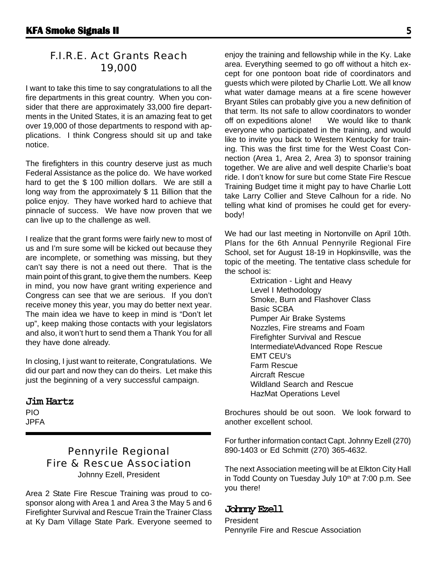#### F.I.R.E. Act Grants Reach 19,000

I want to take this time to say congratulations to all the fire departments in this great country. When you consider that there are approximately 33,000 fire departments in the United States, it is an amazing feat to get over 19,000 of those departments to respond with applications. I think Congress should sit up and take notice.

The firefighters in this country deserve just as much Federal Assistance as the police do. We have worked hard to get the \$ 100 million dollars. We are still a long way from the approximately \$ 11 Billion that the police enjoy. They have worked hard to achieve that pinnacle of success. We have now proven that we can live up to the challenge as well.

I realize that the grant forms were fairly new to most of us and I'm sure some will be kicked out because they are incomplete, or something was missing, but they can't say there is not a need out there. That is the main point of this grant, to give them the numbers. Keep in mind, you now have grant writing experience and Congress can see that we are serious. If you don't receive money this year, you may do better next year. The main idea we have to keep in mind is "Don't let up", keep making those contacts with your legislators and also, it won't hurt to send them a Thank You for all they have done already.

In closing, I just want to reiterate, Congratulations. We did our part and now they can do theirs. Let make this just the beginning of a very successful campaign.

#### **Jim Hartz**

PIO JPFA

#### Pennyrile Regional Fire & Rescue Association Johnny Ezell, President

Area 2 State Fire Rescue Training was proud to cosponsor along with Area 1 and Area 3 the May 5 and 6 Firefighter Survival and Rescue Train the Trainer Class at Ky Dam Village State Park. Everyone seemed to

enjoy the training and fellowship while in the Ky. Lake area. Everything seemed to go off without a hitch except for one pontoon boat ride of coordinators and guests which were piloted by Charlie Lott. We all know what water damage means at a fire scene however Bryant Stiles can probably give you a new definition of that term. Its not safe to allow coordinators to wonder off on expeditions alone! We would like to thank everyone who participated in the training, and would like to invite you back to Western Kentucky for training. This was the first time for the West Coast Connection (Area 1, Area 2, Area 3) to sponsor training together. We are alive and well despite Charlie's boat ride. I don't know for sure but come State Fire Rescue Training Budget time it might pay to have Charlie Lott take Larry Collier and Steve Calhoun for a ride. No telling what kind of promises he could get for everybody!

We had our last meeting in Nortonville on April 10th. Plans for the 6th Annual Pennyrile Regional Fire School, set for August 18-19 in Hopkinsville, was the topic of the meeting. The tentative class schedule for the school is:

> Extrication - Light and Heavy Level I Methodology Smoke, Burn and Flashover Class Basic SCBA Pumper Air Brake Systems Nozzles, Fire streams and Foam Firefighter Survival and Rescue Intermediate\Advanced Rope Rescue EMT CEU's Farm Rescue Aircraft Rescue Wildland Search and Rescue HazMat Operations Level

Brochures should be out soon. We look forward to another excellent school.

For further information contact Capt. Johnny Ezell (270) 890-1403 or Ed Schmitt (270) 365-4632.

The next Association meeting will be at Elkton City Hall in Todd County on Tuesday July 10<sup>th</sup> at 7:00 p.m. See you there!

#### **Johnny Ezell**

President Pennyrile Fire and Rescue Association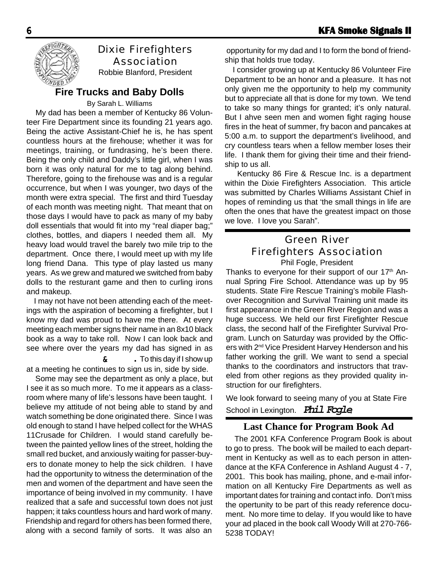

### Dixie Firefighters Association

Robbie Blanford, President

#### **Fire Trucks and Baby Dolls**

By Sarah L. Williams

 My dad has been a member of Kentucky 86 Volunteer Fire Department since its founding 21 years ago. Being the active Assistant-Chief he is, he has spent countless hours at the firehouse; whether it was for meetings, training, or fundrasing, he's been there. Being the only child and Daddy's little girl, when I was born it was only natural for me to tag along behind. Therefore, going to the firehouse was and is a regular occurrence, but when I was younger, two days of the month were extra special. The first and third Tuesday of each month was meeting night. That meant that on those days I would have to pack as many of my baby doll essentials that would fit into my "real diaper bag;" clothes, bottles, and diapers I needed them all. My heavy load would travel the barely two mile trip to the department. Once there, I would meet up with my life long friend Dana. This type of play lasted us many years. As we grew and matured we switched from baby dolls to the resturant game and then to curling irons and makeup.

 I may not have not been attending each of the meetings with the aspiration of becoming a firefighter, but I know my dad was proud to have me there. At every meeting each member signs their name in an 8x10 black book as a way to take roll. Now I can look back and see where over the years my dad has signed in as

#### & **.** To this day if I show up

at a meeting he continues to sign us in, side by side.

 Some may see the department as only a place, but I see it as so much more. To me it appears as a classroom where many of life's lessons have been taught. I believe my attitude of not being able to stand by and watch something be done originated there. Since I was old enough to stand I have helped collect for the WHAS 11Crusade for Children. I would stand carefully between the painted yellow lines of the street, holding the small red bucket, and anxiously waiting for passer-buyers to donate money to help the sick children. I have had the opportunity to witness the determination of the men and women of the department and have seen the importance of being involved in my community. I have realized that a safe and successful town does not just happen; it taks countless hours and hard work of many. Friendship and regard for others has been formed there, along with a second family of sorts. It was also an

 opportunity for my dad and I to form the bond of friendship that holds true today.

 I consider growing up at Kentucky 86 Volunteer Fire Department to be an honor and a pleasure. It has not only given me the opportunity to help my community but to appreciate all that is done for my town. We tend to take so many things for granted; it's only natural. But I ahve seen men and women fight raging house fires in the heat of summer, fry bacon and pancakes at 5:00 a.m. to support the department's livelihood, and cry countless tears when a fellow member loses their life. I thank them for giving their time and their friendship to us all.

 Kentucky 86 Fire & Rescue Inc. is a department within the Dixie Firefighters Association. This article was submitted by Charles Williams Assistant Chief in hopes of reminding us that 'the small things in life are often the ones that have the greatest impact on those we love. I love you Sarah".

### Green River Firefighters Association

Phil Fogle, President

Thanks to everyone for their support of our 17<sup>th</sup> Annual Spring Fire School. Attendance was up by 95 students. State Fire Rescue Training's mobile Flashover Recognition and Survival Training unit made its first appearance in the Green River Region and was a huge success. We held our first Firefighter Rescue class, the second half of the Firefighter Survival Program. Lunch on Saturday was provided by the Officers with 2nd Vice President Harvey Henderson and his father working the grill. We want to send a special thanks to the coordinators and instructors that traveled from other regions as they provided quality instruction for our firefighters.

We look forward to seeing many of you at State Fire

School in Lexington. **Phil Fogle***,*

#### **Last Chance for Program Book Ad**

 The 2001 KFA Conference Program Book is about to go to press. The book will be mailed to each department in Kentucky as well as to each person in attendance at the KFA Conference in Ashland August 4 - 7, 2001. This book has mailing, phone, and e-mail information on all Kentucky Fire Departments as well as important dates for training and contact info. Don't miss the opertunity to be part of this ready reference document. No more time to delay. If you would like to have your ad placed in the book call Woody Will at 270-766- 5238 TODAY!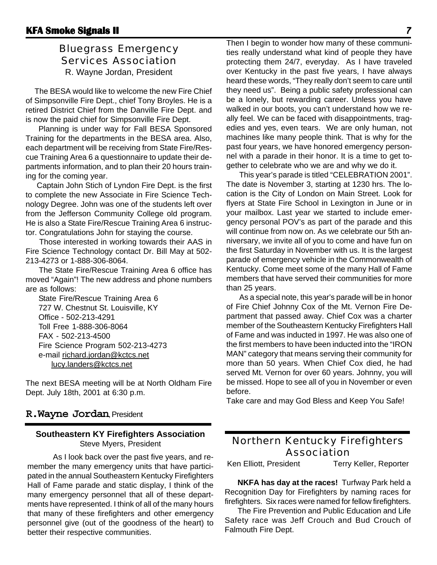#### Bluegrass Emergency Services Association

R. Wayne Jordan, President

 The BESA would like to welcome the new Fire Chief of Simpsonville Fire Dept., chief Tony Broyles. He is a retired District Chief from the Danville Fire Dept. and is now the paid chief for Simpsonville Fire Dept.

Planning is under way for Fall BESA Sponsored Training for the departments in the BESA area. Also, each department will be receiving from State Fire/Rescue Training Area 6 a questionnaire to update their departments information, and to plan their 20 hours training for the coming year.

 Captain John Stich of Lyndon Fire Dept. is the first to complete the new Associate in Fire Science Technology Degree. John was one of the students left over from the Jefferson Community College old program. He is also a State Fire/Rescue Training Area 6 instructor. Congratulations John for staying the course.

 Those interested in working towards their AAS in Fire Science Technology contact Dr. Bill May at 502- 213-4273 or 1-888-306-8064.

 The State Fire/Rescue Training Area 6 office has moved "Again"! The new address and phone numbers are as follows:

State Fire/Rescue Training Area 6 727 W. Chestnut St. Louisville, KY Office - 502-213-4291 Toll Free 1-888-306-8064 FAX - 502-213-4500 Fire Science Program 502-213-4273 e-mail richard.jordan@kctcs.net lucy.landers@kctcs.net

The next BESA meeting will be at North Oldham Fire Dept. July 18th, 2001 at 6:30 p.m.

#### **R.Wayne Jordan**, President

#### **Southeastern KY Firefighters Association** Steve Myers, President

As I look back over the past five years, and remember the many emergency units that have participated in the annual Southeastern Kentucky Firefighters Hall of Fame parade and static display, I think of the many emergency personnel that all of these departments have represented. I think of all of the many hours that many of these firefighters and other emergency personnel give (out of the goodness of the heart) to better their respective communities.

Then I begin to wonder how many of these communities really understand what kind of people they have protecting them 24/7, everyday. As I have traveled over Kentucky in the past five years, I have always heard these words, "They really don't seem to care until they need us". Being a public safety professional can be a lonely, but rewarding career. Unless you have walked in our boots, you can't understand how we really feel. We can be faced with disappointments, tragedies and yes, even tears. We are only human, not machines like many people think. That is why for the past four years, we have honored emergency personnel with a parade in their honor. It is a time to get together to celebrate who we are and why we do it.

This year's parade is titled "CELEBRATION 2001". The date is November 3, starting at 1230 hrs. The location is the City of London on Main Street. Look for flyers at State Fire School in Lexington in June or in your mailbox. Last year we started to include emergency personal POV's as part of the parade and this will continue from now on. As we celebrate our 5th anniversary, we invite all of you to come and have fun on the first Saturday in November with us. It is the largest parade of emergency vehicle in the Commonwealth of Kentucky. Come meet some of the many Hall of Fame members that have served their communities for more than 25 years.

As a special note, this year's parade will be in honor of Fire Chief Johnny Cox of the Mt. Vernon Fire Department that passed away. Chief Cox was a charter member of the Southeastern Kentucky Firefighters Hall of Fame and was inducted in 1997. He was also one of the first members to have been inducted into the "IRON MAN" category that means serving their community for more than 50 years. When Chief Cox died, he had served Mt. Vernon for over 60 years. Johnny, you will be missed. Hope to see all of you in November or even before.

Take care and may God Bless and Keep You Safe!

#### Northern Kentucky Firefighters Association

Ken Elliott, President Terry Keller, Reporter

**NKFA has day at the races!** Turfway Park held a Recognition Day for Firefighters by naming races for firefighters. Six races were named for fellow firefighters.

The Fire Prevention and Public Education and Life Safety race was Jeff Crouch and Bud Crouch of Falmouth Fire Dept.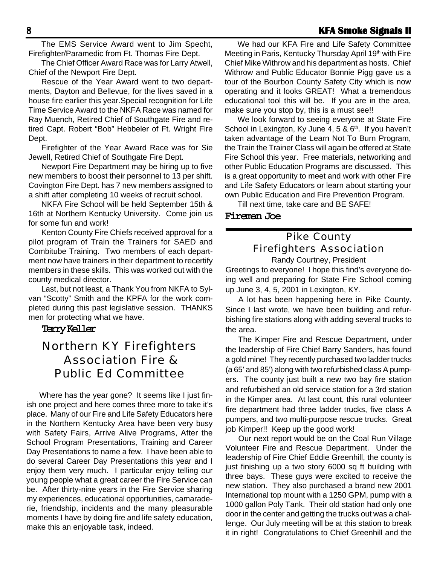#### 8 **KFA Smoke Signals II KFA Smoke Signals II**

The EMS Service Award went to Jim Specht, Firefighter/Paramedic from Ft. Thomas Fire Dept.

The Chief Officer Award Race was for Larry Atwell, Chief of the Newport Fire Dept.

Rescue of the Year Award went to two departments, Dayton and Bellevue, for the lives saved in a house fire earlier this year.Special recognition for Life Time Service Award to the NKFA Race was named for Ray Muench, Retired Chief of Southgate Fire and retired Capt. Robert "Bob" Hebbeler of Ft. Wright Fire Dept.

Firefighter of the Year Award Race was for Sie Jewell, Retired Chief of Southgate Fire Dept.

Newport Fire Department may be hiring up to five new members to boost their personnel to 13 per shift. Covington Fire Dept. has 7 new members assigned to a shift after completing 10 weeks of recruit school.

NKFA Fire School will be held September 15th & 16th at Northern Kentucky University. Come join us for some fun and work!

Kenton County Fire Chiefs received approval for a pilot program of Train the Trainers for SAED and Combitube Training. Two members of each department now have trainers in their department to recertify members in these skills. This was worked out with the county medical director.

Last, but not least, a Thank You from NKFA to Sylvan "Scotty" Smith and the KPFA for the work completed during this past legislative session. THANKS men for protecting what we have.

**Terry Keller**

### Northern KY Firefighters Association Fire & Public Ed Committee

Where has the year gone? It seems like I just finish one project and here comes three more to take it's place. Many of our Fire and Life Safety Educators here in the Northern Kentucky Area have been very busy with Safety Fairs, Arrive Alive Programs, After the School Program Presentations, Training and Career Day Presentations to name a few. I have been able to do several Career Day Presentations this year and I enjoy them very much. I particular enjoy telling our young people what a great career the Fire Service can be. After thirty-nine years in the Fire Service sharing my experiences, educational opportunities, camaraderie, friendship, incidents and the many pleasurable moments I have by doing fire and life safety education, make this an enjoyable task, indeed.

We had our KFA Fire and Life Safety Committee Meeting in Paris, Kentucky Thursday April 19<sup>th</sup> with Fire Chief Mike Withrow and his department as hosts. Chief Withrow and Public Educator Bonnie Pigg gave us a tour of the Bourbon County Safety City which is now operating and it looks GREAT! What a tremendous educational tool this will be. If you are in the area, make sure you stop by, this is a must see!!

We look forward to seeing everyone at State Fire School in Lexington, Ky June 4, 5 & 6<sup>th</sup>. If you haven't taken advantage of the Learn Not To Burn Program, the Train the Trainer Class will again be offered at State Fire School this year. Free materials, networking and other Public Education Programs are discussed. This is a great opportunity to meet and work with other Fire and Life Safety Educators or learn about starting your own Public Education and Fire Prevention Program.

Till next time, take care and BE SAFE!

**Fireman Joe**

#### Pike County Firefighters Association

Randy Courtney, President Greetings to everyone! I hope this find's everyone doing well and preparing for State Fire School coming up June 3, 4, 5, 2001 in Lexington, KY.

A lot has been happening here in Pike County. Since I last wrote, we have been building and refurbishing fire stations along with adding several trucks to the area.

The Kimper Fire and Rescue Department, under the leadership of Fire Chief Barry Sanders, has found a gold mine! They recently purchased two ladder trucks (a 65' and 85') along with two refurbished class A pumpers. The county just built a new two bay fire station and refurbished an old service station for a 3rd station in the Kimper area. At last count, this rural volunteer fire department had three ladder trucks, five class A pumpers, and two multi-purpose rescue trucks. Great job Kimper!! Keep up the good work!

Our next report would be on the Coal Run Village Volunteer Fire and Rescue Department. Under the leadership of Fire Chief Eddie Greenhill, the county is just finishing up a two story 6000 sq ft building with three bays. These guys were excited to receive the new station. They also purchased a brand new 2001 International top mount with a 1250 GPM, pump with a 1000 gallon Poly Tank. Their old station had only one door in the center and getting the trucks out was a challenge. Our July meeting will be at this station to break it in right! Congratulations to Chief Greenhill and the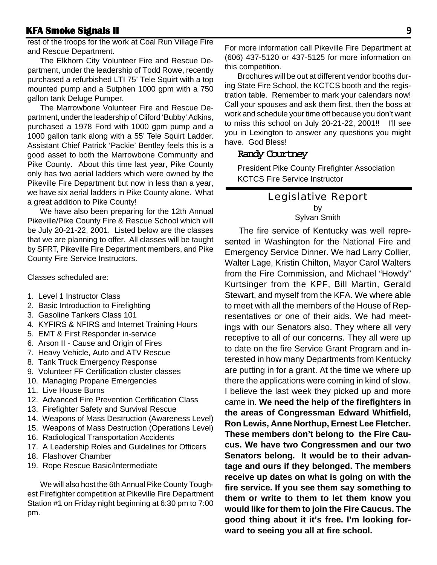rest of the troops for the work at Coal Run Village Fire and Rescue Department.

The Elkhorn City Volunteer Fire and Rescue Department, under the leadership of Todd Rowe, recently purchased a refurbished LTI 75' Tele Squirt with a top mounted pump and a Sutphen 1000 gpm with a 750 gallon tank Deluge Pumper.

The Marrowbone Volunteer Fire and Rescue Department, under the leadership of Cliford 'Bubby' Adkins, purchased a 1978 Ford with 1000 gpm pump and a 1000 gallon tank along with a 55' Tele Squirt Ladder. Assistant Chief Patrick 'Packie' Bentley feels this is a good asset to both the Marrowbone Community and Pike County. About this time last year, Pike County only has two aerial ladders which were owned by the Pikeville Fire Department but now in less than a year, we have six aerial ladders in Pike County alone. What a great addition to Pike County!

 We have also been preparing for the 12th Annual Pikeville/Pike County Fire & Rescue School which will be July 20-21-22, 2001. Listed below are the classes that we are planning to offer. All classes will be taught by SFRT, Pikeville Fire Department members, and Pike County Fire Service Instructors.

Classes scheduled are:

- 1. Level 1 Instructor Class
- 2. Basic Introduction to Firefighting
- 3. Gasoline Tankers Class 101
- 4. KYFIRS & NFIRS and Internet Training Hours
- 5. EMT & First Responder in-service
- 6. Arson II Cause and Origin of Fires
- 7. Heavy Vehicle, Auto and ATV Rescue
- 8. Tank Truck Emergency Response
- 9. Volunteer FF Certification cluster classes
- 10. Managing Propane Emergencies
- 11. Live House Burns
- 12. Advanced Fire Prevention Certification Class
- 13. Firefighter Safety and Survival Rescue
- 14. Weapons of Mass Destruction (Awareness Level)
- 15. Weapons of Mass Destruction (Operations Level)
- 16. Radiological Transportation Accidents
- 17. A Leadership Roles and Guidelines for Officers
- 18. Flashover Chamber
- 19. Rope Rescue Basic/Intermediate

We will also host the 6th Annual Pike County Toughest Firefighter competition at Pikeville Fire Department Station #1 on Friday night beginning at 6:30 pm to 7:00 pm.

For more information call Pikeville Fire Department at (606) 437-5120 or 437-5125 for more information on this competition.

Brochures will be out at different vendor booths during State Fire School, the KCTCS booth and the registration table. Remember to mark your calendars now! Call your spouses and ask them first, then the boss at work and schedule your time off because you don't want to miss this school on July 20-21-22, 2001!! I'll see you in Lexington to answer any questions you might have. God Bless!

#### **Randy Courtney**

President Pike County Firefighter Association KCTCS Fire Service Instructor

#### Legislative Report by

Sylvan Smith

The fire service of Kentucky was well represented in Washington for the National Fire and Emergency Service Dinner. We had Larry Collier, Walter Lage, Kristin Chilton, Mayor Carol Walters from the Fire Commission, and Michael "Howdy" Kurtsinger from the KPF, Bill Martin, Gerald Stewart, and myself from the KFA. We where able to meet with all the members of the House of Representatives or one of their aids. We had meetings with our Senators also. They where all very receptive to all of our concerns. They all were up to date on the fire Service Grant Program and interested in how many Departments from Kentucky are putting in for a grant. At the time we where up there the applications were coming in kind of slow. I believe the last week they picked up and more came in. **We need the help of the firefighters in the areas of Congressman Edward Whitfield, Ron Lewis, Anne Northup, Ernest Lee Fletcher. These members don't belong to the Fire Caucus. We have two Congressmen and our two Senators belong. It would be to their advantage and ours if they belonged. The members receive up dates on what is going on with the fire service. If you see them say something to them or write to them to let them know you would like for them to join the Fire Caucus. The good thing about it it's free. I'm looking forward to seeing you all at fire school.**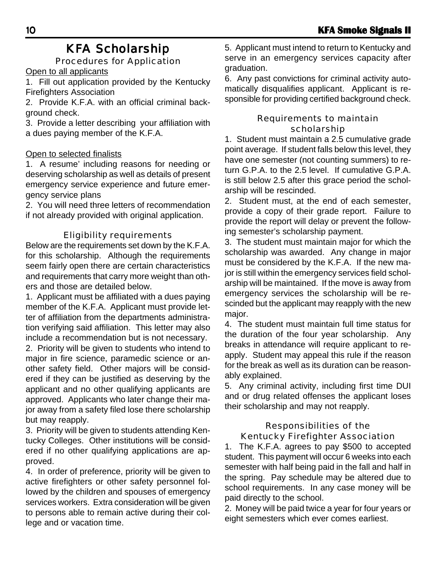#### KFA Scholarship Procedures for Application

Open to all applicants

1. Fill out application provided by the Kentucky Firefighters Association

2. Provide K.F.A. with an official criminal background check.

3. Provide a letter describing your affiliation with a dues paying member of the K.F.A.

#### Open to selected finalists

1. A resume' including reasons for needing or deserving scholarship as well as details of present emergency service experience and future emergency service plans

2. You will need three letters of recommendation if not already provided with original application.

#### Eligibility requirements

Below are the requirements set down by the K.F.A. for this scholarship. Although the requirements seem fairly open there are certain characteristics and requirements that carry more weight than others and those are detailed below.

1. Applicant must be affiliated with a dues paying member of the K.F.A. Applicant must provide letter of affiliation from the departments administration verifying said affiliation. This letter may also include a recommendation but is not necessary.

2. Priority will be given to students who intend to major in fire science, paramedic science or another safety field. Other majors will be considered if they can be justified as deserving by the applicant and no other qualifying applicants are approved. Applicants who later change their major away from a safety filed lose there scholarship but may reapply.

3. Priority will be given to students attending Kentucky Colleges. Other institutions will be considered if no other qualifying applications are approved.

4. In order of preference, priority will be given to active firefighters or other safety personnel followed by the children and spouses of emergency services workers. Extra consideration will be given to persons able to remain active during their college and or vacation time.

5. Applicant must intend to return to Kentucky and serve in an emergency services capacity after graduation.

6. Any past convictions for criminal activity automatically disqualifies applicant. Applicant is responsible for providing certified background check.

#### Requirements to maintain scholarship

1. Student must maintain a 2.5 cumulative grade point average. If student falls below this level, they have one semester (not counting summers) to return G.P.A. to the 2.5 level. If cumulative G.P.A. is still below 2.5 after this grace period the scholarship will be rescinded.

2. Student must, at the end of each semester, provide a copy of their grade report. Failure to provide the report will delay or prevent the following semester's scholarship payment.

3. The student must maintain major for which the scholarship was awarded. Any change in major must be considered by the K.F.A. If the new major is still within the emergency services field scholarship will be maintained. If the move is away from emergency services the scholarship will be rescinded but the applicant may reapply with the new major.

4. The student must maintain full time status for the duration of the four year scholarship. Any breaks in attendance will require applicant to reapply. Student may appeal this rule if the reason for the break as well as its duration can be reasonably explained.

5. Any criminal activity, including first time DUI and or drug related offenses the applicant loses their scholarship and may not reapply.

#### Responsibilities of the Kentucky Firefighter Association

1. The K.F.A. agrees to pay \$500 to accepted student. This payment will occur 6 weeks into each semester with half being paid in the fall and half in the spring. Pay schedule may be altered due to school requirements. In any case money will be paid directly to the school.

2. Money will be paid twice a year for four years or eight semesters which ever comes earliest.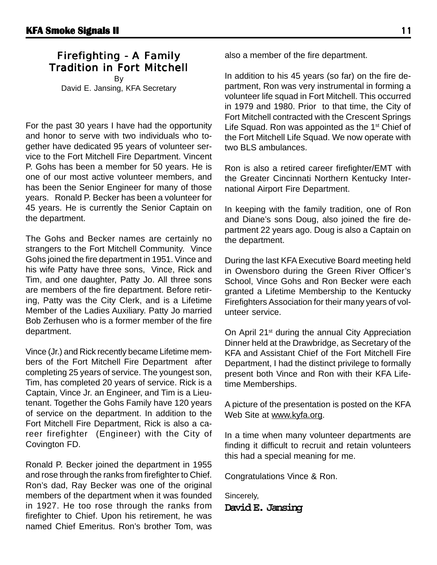#### Firefighting - A Family Tradition in Fort Mitchell

By David E. Jansing, KFA Secretary

For the past 30 years I have had the opportunity and honor to serve with two individuals who together have dedicated 95 years of volunteer service to the Fort Mitchell Fire Department. Vincent P. Gohs has been a member for 50 years. He is one of our most active volunteer members, and has been the Senior Engineer for many of those years. Ronald P. Becker has been a volunteer for 45 years. He is currently the Senior Captain on the department.

The Gohs and Becker names are certainly no strangers to the Fort Mitchell Community. Vince Gohs joined the fire department in 1951. Vince and his wife Patty have three sons, Vince, Rick and Tim, and one daughter, Patty Jo. All three sons are members of the fire department. Before retiring, Patty was the City Clerk, and is a Lifetime Member of the Ladies Auxiliary. Patty Jo married Bob Zerhusen who is a former member of the fire department.

Vince (Jr.) and Rick recently became Lifetime members of the Fort Mitchell Fire Department after completing 25 years of service. The youngest son, Tim, has completed 20 years of service. Rick is a Captain, Vince Jr. an Engineer, and Tim is a Lieutenant. Together the Gohs Family have 120 years of service on the department. In addition to the Fort Mitchell Fire Department, Rick is also a career firefighter (Engineer) with the City of Covington FD.

Ronald P. Becker joined the department in 1955 and rose through the ranks from firefighter to Chief. Ron's dad, Ray Becker was one of the original members of the department when it was founded in 1927. He too rose through the ranks from firefighter to Chief. Upon his retirement, he was named Chief Emeritus. Ron's brother Tom, was

also a member of the fire department.

In addition to his 45 years (so far) on the fire department, Ron was very instrumental in forming a volunteer life squad in Fort Mitchell. This occurred in 1979 and 1980. Prior to that time, the City of Fort Mitchell contracted with the Crescent Springs Life Squad. Ron was appointed as the 1<sup>st</sup> Chief of the Fort Mitchell Life Squad. We now operate with two BLS ambulances.

Ron is also a retired career firefighter/EMT with the Greater Cincinnati Northern Kentucky International Airport Fire Department.

In keeping with the family tradition, one of Ron and Diane's sons Doug, also joined the fire department 22 years ago. Doug is also a Captain on the department.

During the last KFA Executive Board meeting held in Owensboro during the Green River Officer's School, Vince Gohs and Ron Becker were each granted a Lifetime Membership to the Kentucky Firefighters Association for their many years of volunteer service.

On April 21<sup>st</sup> during the annual City Appreciation Dinner held at the Drawbridge, as Secretary of the KFA and Assistant Chief of the Fort Mitchell Fire Department, I had the distinct privilege to formally present both Vince and Ron with their KFA Lifetime Memberships.

A picture of the presentation is posted on the KFA Web Site at www.kyfa.org.

In a time when many volunteer departments are finding it difficult to recruit and retain volunteers this had a special meaning for me.

Congratulations Vince & Ron.

Sincerely, **David E. Jansing**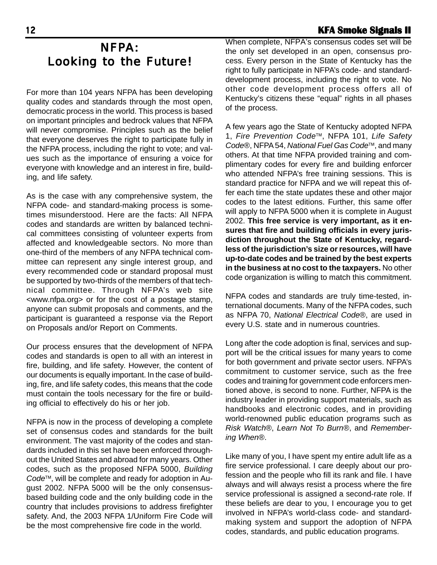### NFPA: Looking to the Future!

For more than 104 years NFPA has been developing quality codes and standards through the most open, democratic process in the world. This process is based on important principles and bedrock values that NFPA will never compromise. Principles such as the belief that everyone deserves the right to participate fully in the NFPA process, including the right to vote; and values such as the importance of ensuring a voice for everyone with knowledge and an interest in fire, building, and life safety.

As is the case with any comprehensive system, the NFPA code- and standard-making process is sometimes misunderstood. Here are the facts: All NFPA codes and standards are written by balanced technical committees consisting of volunteer experts from affected and knowledgeable sectors. No more than one-third of the members of any NFPA technical committee can represent any single interest group, and every recommended code or standard proposal must be supported by two-thirds of the members of that technical committee. Through NFPA's web site <www.nfpa.org> or for the cost of a postage stamp, anyone can submit proposals and comments, and the participant is guaranteed a response via the Report on Proposals and/or Report on Comments.

Our process ensures that the development of NFPA codes and standards is open to all with an interest in fire, building, and life safety. However, the content of our documents is equally important. In the case of building, fire, and life safety codes, this means that the code must contain the tools necessary for the fire or building official to effectively do his or her job.

NFPA is now in the process of developing a complete set of consensus codes and standards for the built environment. The vast majority of the codes and standards included in this set have been enforced throughout the United States and abroad for many years. Other codes, such as the proposed NFPA 5000, *Building Code*™, will be complete and ready for adoption in August 2002. NFPA 5000 will be the only consensusbased building code and the only building code in the country that includes provisions to address firefighter safety. And, the 2003 NFPA 1/Uniform Fire Code will be the most comprehensive fire code in the world.

#### 12 **KFA Smoke Signals II KFA Signals II**

When complete, NFPA's consensus codes set will be the only set developed in an open, consensus process. Every person in the State of Kentucky has the right to fully participate in NFPA's code- and standarddevelopment process, including the right to vote. No other code development process offers all of Kentucky's citizens these "equal" rights in all phases of the process.

A few years ago the State of Kentucky adopted NFPA 1, *Fire Prevention Code*™, NFPA 101, *Life Safety Code*®, NFPA 54, *National Fuel Gas Code*™, and many others. At that time NFPA provided training and complimentary codes for every fire and building enforcer who attended NFPA's free training sessions. This is standard practice for NFPA and we will repeat this offer each time the state updates these and other major codes to the latest editions. Further, this same offer will apply to NFPA 5000 when it is complete in August 2002. **This free service is very important, as it ensures that fire and building officials in every jurisdiction throughout the State of Kentucky, regardless of the jurisdiction's size or resources, will have up-to-date codes and be trained by the best experts in the business at no cost to the taxpayers.** No other code organization is willing to match this commitment.

NFPA codes and standards are truly time-tested, international documents. Many of the NFPA codes, such as NFPA 70, *National Electrical Code*®, are used in every U.S. state and in numerous countries.

Long after the code adoption is final, services and support will be the critical issues for many years to come for both government and private sector users. NFPA's commitment to customer service, such as the free codes and training for government code enforcers mentioned above, is second to none. Further, NFPA is the industry leader in providing support materials, such as handbooks and electronic codes, and in providing world-renowned public education programs such as *Risk Watch*®, *Learn Not To Burn*®, and *Remembering When*®.

Like many of you, I have spent my entire adult life as a fire service professional. I care deeply about our profession and the people who fill its rank and file. I have always and will always resist a process where the fire service professional is assigned a second-rate role. If these beliefs are dear to you, I encourage you to get involved in NFPA's world-class code- and standardmaking system and support the adoption of NFPA codes, standards, and public education programs.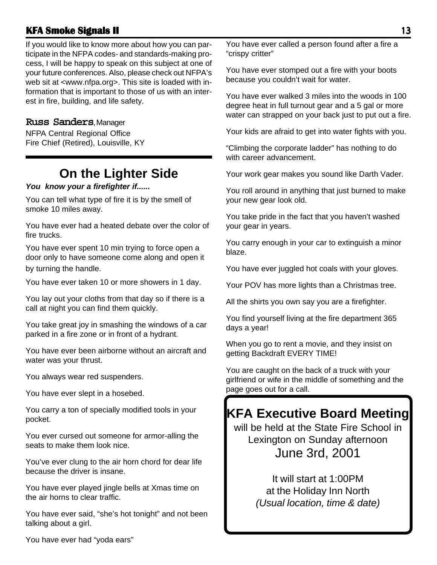#### **KFA Smoke Signals II KFA Smoke Signals** 13

If you would like to know more about how you can participate in the NFPA codes- and standards-making process, I will be happy to speak on this subject at one of your future conferences. Also, please check out NFPA's web sit at <www.nfpa.org>. This site is loaded with information that is important to those of us with an interest in fire, building, and life safety.

#### **Russ Sanders**, Manager

NFPA Central Regional Office Fire Chief (Retired), Louisville, KY

## **On the Lighter Side**

#### *You know your a firefighter if......*

You can tell what type of fire it is by the smell of smoke 10 miles away.

You have ever had a heated debate over the color of fire trucks.

You have ever spent 10 min trying to force open a door only to have someone come along and open it by turning the handle.

You have ever taken 10 or more showers in 1 day.

You lay out your cloths from that day so if there is a call at night you can find them quickly.

You take great joy in smashing the windows of a car parked in a fire zone or in front of a hydrant.

You have ever been airborne without an aircraft and water was your thrust.

You always wear red suspenders.

You have ever slept in a hosebed.

You carry a ton of specially modified tools in your pocket.

You ever cursed out someone for armor-alling the seats to make them look nice.

You've ever clung to the air horn chord for dear life because the driver is insane.

You have ever played jingle bells at Xmas time on the air horns to clear traffic.

You have ever said, "she's hot tonight" and not been talking about a girl.

You have ever called a person found after a fire a "crispy critter"

You have ever stomped out a fire with your boots because you couldn't wait for water.

You have ever walked 3 miles into the woods in 100 degree heat in full turnout gear and a 5 gal or more water can strapped on your back just to put out a fire.

Your kids are afraid to get into water fights with you.

"Climbing the corporate ladder" has nothing to do with career advancement.

Your work gear makes you sound like Darth Vader.

You roll around in anything that just burned to make your new gear look old.

You take pride in the fact that you haven't washed your gear in years.

You carry enough in your car to extinguish a minor blaze.

You have ever juggled hot coals with your gloves.

Your POV has more lights than a Christmas tree.

All the shirts you own say you are a firefighter.

You find yourself living at the fire department 365 days a year!

When you go to rent a movie, and they insist on getting Backdraft EVERY TIME!

You are caught on the back of a truck with your girlfriend or wife in the middle of something and the page goes out for a call.

## **KFA Executive Board Meeting**

will be held at the State Fire School in Lexington on Sunday afternoon June 3rd, 2001

> It will start at 1:00PM at the Holiday Inn North *(Usual location, time & date)*

You have ever had "yoda ears"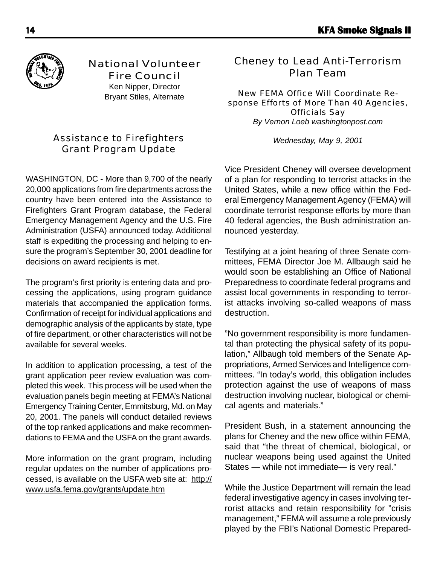

National Volunteer Fire Council

> Ken Nipper, Director Bryant Stiles, Alternate

#### Assistance to Firefighters Grant Program Update

WASHINGTON, DC - More than 9,700 of the nearly 20,000 applications from fire departments across the country have been entered into the Assistance to Firefighters Grant Program database, the Federal Emergency Management Agency and the U.S. Fire Administration (USFA) announced today. Additional staff is expediting the processing and helping to ensure the program's September 30, 2001 deadline for decisions on award recipients is met.

The program's first priority is entering data and processing the applications, using program guidance materials that accompanied the application forms. Confirmation of receipt for individual applications and demographic analysis of the applicants by state, type of fire department, or other characteristics will not be available for several weeks.

In addition to application processing, a test of the grant application peer review evaluation was completed this week. This process will be used when the evaluation panels begin meeting at FEMA's National Emergency Training Center, Emmitsburg, Md. on May 20, 2001. The panels will conduct detailed reviews of the top ranked applications and make recommendations to FEMA and the USFA on the grant awards.

More information on the grant program, including regular updates on the number of applications processed, is available on the USFA web site at: http:// www.usfa.fema.gov/grants/update.htm

#### Cheney to Lead Anti-Terrorism Plan Team

New FEMA Office Will Coordinate Response Efforts of More Than 40 Agencies, Officials Say

*By Vernon Loeb washingtonpost.com*

*Wednesday, May 9, 2001*

Vice President Cheney will oversee development of a plan for responding to terrorist attacks in the United States, while a new office within the Federal Emergency Management Agency (FEMA) will coordinate terrorist response efforts by more than 40 federal agencies, the Bush administration announced yesterday.

Testifying at a joint hearing of three Senate committees, FEMA Director Joe M. Allbaugh said he would soon be establishing an Office of National Preparedness to coordinate federal programs and assist local governments in responding to terrorist attacks involving so-called weapons of mass destruction.

"No government responsibility is more fundamental than protecting the physical safety of its population," Allbaugh told members of the Senate Appropriations, Armed Services and Intelligence committees. "In today's world, this obligation includes protection against the use of weapons of mass destruction involving nuclear, biological or chemical agents and materials."

President Bush, in a statement announcing the plans for Cheney and the new office within FEMA, said that "the threat of chemical, biological, or nuclear weapons being used against the United States — while not immediate— is very real."

While the Justice Department will remain the lead federal investigative agency in cases involving terrorist attacks and retain responsibility for "crisis management," FEMA will assume a role previously played by the FBI's National Domestic Prepared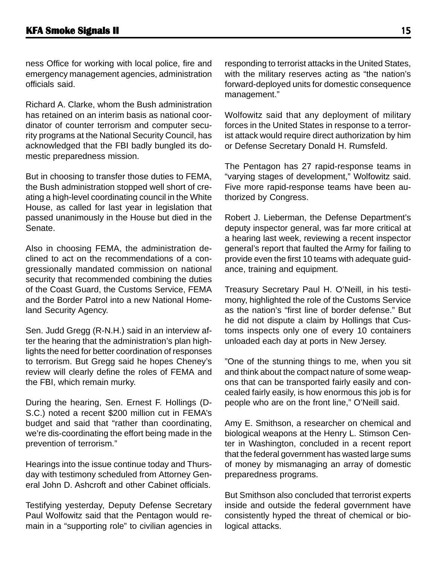ness Office for working with local police, fire and emergency management agencies, administration officials said.

Richard A. Clarke, whom the Bush administration has retained on an interim basis as national coordinator of counter terrorism and computer security programs at the National Security Council, has acknowledged that the FBI badly bungled its domestic preparedness mission.

But in choosing to transfer those duties to FEMA, the Bush administration stopped well short of creating a high-level coordinating council in the White House, as called for last year in legislation that passed unanimously in the House but died in the Senate.

Also in choosing FEMA, the administration declined to act on the recommendations of a congressionally mandated commission on national security that recommended combining the duties of the Coast Guard, the Customs Service, FEMA and the Border Patrol into a new National Homeland Security Agency.

Sen. Judd Gregg (R-N.H.) said in an interview after the hearing that the administration's plan highlights the need for better coordination of responses to terrorism. But Gregg said he hopes Cheney's review will clearly define the roles of FEMA and the FBI, which remain murky.

During the hearing, Sen. Ernest F. Hollings (D-S.C.) noted a recent \$200 million cut in FEMA's budget and said that "rather than coordinating, we're dis-coordinating the effort being made in the prevention of terrorism."

Hearings into the issue continue today and Thursday with testimony scheduled from Attorney General John D. Ashcroft and other Cabinet officials.

Testifying yesterday, Deputy Defense Secretary Paul Wolfowitz said that the Pentagon would remain in a "supporting role" to civilian agencies in

responding to terrorist attacks in the United States, with the military reserves acting as "the nation's forward-deployed units for domestic consequence management."

Wolfowitz said that any deployment of military forces in the United States in response to a terrorist attack would require direct authorization by him or Defense Secretary Donald H. Rumsfeld.

The Pentagon has 27 rapid-response teams in "varying stages of development," Wolfowitz said. Five more rapid-response teams have been authorized by Congress.

Robert J. Lieberman, the Defense Department's deputy inspector general, was far more critical at a hearing last week, reviewing a recent inspector general's report that faulted the Army for failing to provide even the first 10 teams with adequate guidance, training and equipment.

Treasury Secretary Paul H. O'Neill, in his testimony, highlighted the role of the Customs Service as the nation's "first line of border defense." But he did not dispute a claim by Hollings that Customs inspects only one of every 10 containers unloaded each day at ports in New Jersey.

"One of the stunning things to me, when you sit and think about the compact nature of some weapons that can be transported fairly easily and concealed fairly easily, is how enormous this job is for people who are on the front line," O'Neill said.

Amy E. Smithson, a researcher on chemical and biological weapons at the Henry L. Stimson Center in Washington, concluded in a recent report that the federal government has wasted large sums of money by mismanaging an array of domestic preparedness programs.

But Smithson also concluded that terrorist experts inside and outside the federal government have consistently hyped the threat of chemical or biological attacks.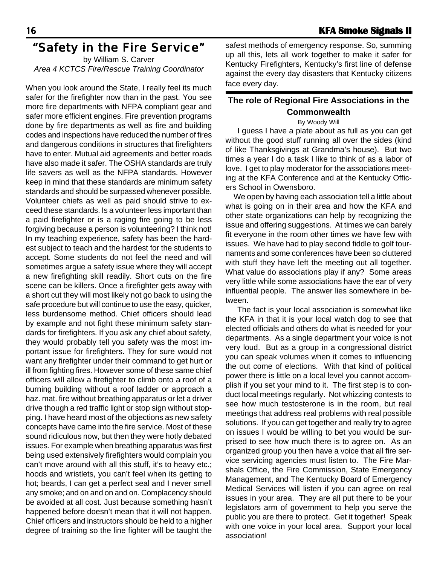### "Safety in the Fire Service"

by William S. Carver *Area 4 KCTCS Fire/Rescue Training Coordinator*

When you look around the State, I really feel its much safer for the firefighter now than in the past. You see more fire departments with NFPA compliant gear and safer more efficient engines. Fire prevention programs done by fire departments as well as fire and building codes and inspections have reduced the number of fires and dangerous conditions in structures that firefighters have to enter. Mutual aid agreements and better roads have also made it safer. The OSHA standards are truly life savers as well as the NFPA standards. However keep in mind that these standards are minimum safety standards and should be surpassed whenever possible. Volunteer chiefs as well as paid should strive to exceed these standards. Is a volunteer less important than a paid firefighter or is a raging fire going to be less forgiving because a person is volunteering? I think not! In my teaching experience, safety has been the hardest subject to teach and the hardest for the students to accept. Some students do not feel the need and will sometimes argue a safety issue where they will accept a new firefighting skill readily. Short cuts on the fire scene can be killers. Once a firefighter gets away with a short cut they will most likely not go back to using the safe procedure but will continue to use the easy, quicker, less burdensome method. Chief officers should lead by example and not fight these minimum safety standards for firefighters. If you ask any chief about safety, they would probably tell you safety was the most important issue for firefighters. They for sure would not want any firefighter under their command to get hurt or ill from fighting fires. However some of these same chief officers will allow a firefighter to climb onto a roof of a burning building without a roof ladder or approach a haz. mat. fire without breathing apparatus or let a driver drive though a red traffic light or stop sign without stopping. I have heard most of the objections as new safety concepts have came into the fire service. Most of these sound ridiculous now, but then they were hotly debated issues. For example when breathing apparatus was first being used extensively firefighters would complain you can't move around with all this stuff, it's to heavy etc.; hoods and wristlets, you can't feel when its getting to hot; beards, I can get a perfect seal and I never smell any smoke; and on and on and on. Complacency should be avoided at all cost. Just because something hasn't happened before doesn't mean that it will not happen. Chief officers and instructors should be held to a higher degree of training so the line fighter will be taught the

safest methods of emergency response. So, summing up all this, lets all work together to make it safer for Kentucky Firefighters, Kentucky's first line of defense against the every day disasters that Kentucky citizens face every day.

#### **The role of Regional Fire Associations in the Commonwealth**

.

#### By Woody Will

 I guess I have a plate about as full as you can get without the good stuff running all over the sides (kind of like Thanksgivings at Grandma's house). But two times a year I do a task I like to think of as a labor of love. I get to play moderator for the associations meeting at the KFA Conference and at the Kentucky Officers School in Owensboro.

 We open by having each association tell a little about what is going on in their area and how the KFA and other state organizations can help by recognizing the issue and offering suggestions. At times we can barely fit everyone in the room other times we have few with issues. We have had to play second fiddle to golf tournaments and some conferences have been so cluttered with stuff they have left the meeting out all together. What value do associations play if any? Some areas very little while some associations have the ear of very influential people. The answer lies somewhere in between.

 The fact is your local association is somewhat like the KFA in that it is your local watch dog to see that elected officials and others do what is needed for your departments. As a single department your voice is not very loud. But as a group in a congressional district you can speak volumes when it comes to influencing the out come of elections. With that kind of political power there is little on a local level you cannot accomplish if you set your mind to it. The first step is to conduct local meetings regularly. Not whizzing contests to see how much testosterone is in the room, but real meetings that address real problems with real possible solutions. If you can get together and really try to agree on issues I would be willing to bet you would be surprised to see how much there is to agree on. As an organized group you then have a voice that all fire service servicing agencies must listen to. The Fire Marshals Office, the Fire Commission, State Emergency Management, and The Kentucky Board of Emergency Medical Services will listen if you can agree on real issues in your area. They are all put there to be your legislators arm of government to help you serve the public you are there to protect. Get it together! Speak with one voice in your local area. Support your local association!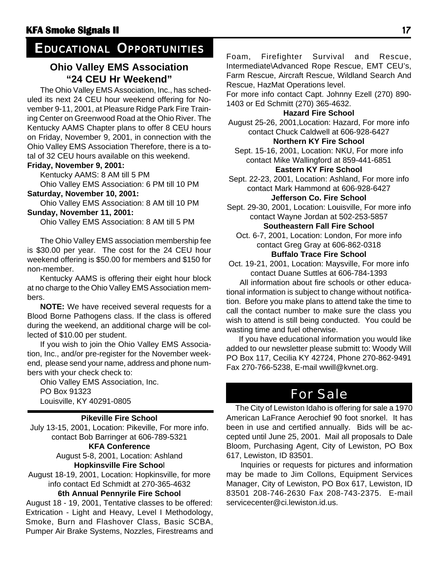### *EDUCATIONAL OPPORTUNITIES*

#### **Ohio Valley EMS Association "24 CEU Hr Weekend"**

The Ohio Valley EMS Association, Inc., has scheduled its next 24 CEU hour weekend offering for November 9-11, 2001, at Pleasure Ridge Park Fire Training Center on Greenwood Road at the Ohio River. The Kentucky AAMS Chapter plans to offer 8 CEU hours on Friday, November 9, 2001, in connection with the Ohio Valley EMS Association Therefore, there is a total of 32 CEU hours available on this weekend.

#### **Friday, November 9, 2001:**

Kentucky AAMS: 8 AM till 5 PM

Ohio Valley EMS Association: 6 PM till 10 PM

#### **Saturday, November 10, 2001:**

Ohio Valley EMS Association: 8 AM till 10 PM **Sunday, November 11, 2001:**

Ohio Valley EMS Association: 8 AM till 5 PM

The Ohio Valley EMS association membership fee is \$30.00 per year. The cost for the 24 CEU hour weekend offering is \$50.00 for members and \$150 for non-member.

Kentucky AAMS is offering their eight hour block at no charge to the Ohio Valley EMS Association members.

**NOTE:** We have received several requests for a Blood Borne Pathogens class. If the class is offered during the weekend, an additional charge will be collected of \$10.00 per student.

If you wish to join the Ohio Valley EMS Association, Inc., and/or pre-register for the November weekend, please send your name, address and phone numbers with your check check to:

Ohio Valley EMS Association, Inc. PO Box 91323 PO Box 91323<br>
Louisville, KY 40291-0805<br>
The City of Lewiston Idaho is offering for sale a 1970

#### **Pikeville Fire School**

July 13-15, 2001, Location: Pikeville, For more info. contact Bob Barringer at 606-789-5321

**KFA Conference**

August 5-8, 2001, Location: Ashland **Hopkinsville Fire Schoo**l

August 18-19, 2001, Location: Hopkinsville, for more info contact Ed Schmidt at 270-365-4632

#### **6th Annual Pennyrile Fire School**

August 18 - 19, 2001, Tentative classes to be offered: Extrication - Light and Heavy, Level I Methodology, Smoke, Burn and Flashover Class, Basic SCBA, Pumper Air Brake Systems, Nozzles, Firestreams and Foam, Firefighter Survival and Rescue, Intermediate\Advanced Rope Rescue, EMT CEU's, Farm Rescue, Aircraft Rescue, Wildland Search And Rescue, HazMat Operations level.

For more info contact Capt. Johnny Ezell (270) 890- 1403 or Ed Schmitt (270) 365-4632.

#### **Hazard Fire School**

August 25-26, 2001,Location: Hazard, For more info contact Chuck Caldwell at 606-928-6427 **Northern KY Fire School**

Sept. 15-16, 2001, Location: NKU, For more info contact Mike Wallingford at 859-441-6851 **Eastern KY Fire School**

### Sept. 22-23, 2001, Location: Ashland, For more info

contact Mark Hammond at 606-928-6427 **Jefferson Co. Fire School**

Sept. 29-30, 2001, Location: Louisville, For more info contact Wayne Jordan at 502-253-5857

#### **Southeastern Fall Fire School**

Oct. 6-7, 2001, Location: London, For more info contact Greg Gray at 606-862-0318 **Buffalo Trace Fire School**

Oct. 19-21, 2001, Location: Maysville, For more info contact Duane Suttles at 606-784-1393

 All information about fire schools or other educational information is subject to change without notification. Before you make plans to attend take the time to call the contact number to make sure the class you wish to attend is still being conducted. You could be wasting time and fuel otherwise.

 If you have educational information you would like added to our newsletter please submitt to: Woody Will PO Box 117, Cecilia KY 42724, Phone 270-862-9491 Fax 270-766-5238, E-mail wwill@kvnet.org.

American LaFrance Aerochief 90 foot snorkel. It has been in use and certified annually. Bids will be accepted until June 25, 2001. Mail all proposals to Dale Bloom, Purchasing Agent, City of Lewiston, PO Box 617, Lewiston, ID 83501.

 Inquiries or requests for pictures and information may be made to Jim Collons, Equipment Services Manager, City of Lewiston, PO Box 617, Lewiston, ID 83501 208-746-2630 Fax 208-743-2375. E-mail servicecenter@ci.lewiston.id.us.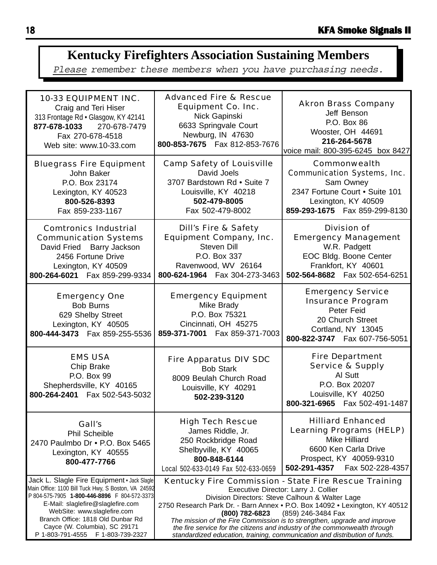## **Kentucky Firefighters Association Sustaining Members**

Please remember these members when you have purchasing needs.

| <b>10-33 EQUIPMENT INC.</b><br>Craig and Teri Hiser<br>313 Frontage Rd · Glasgow, KY 42141<br>877-678-1033 270-678-7479<br>Fax 270-678-4518<br>Web site: www.10-33.com                                                                                                                       | <b>Advanced Fire &amp; Rescue</b><br><b>Equipment Co. Inc.</b><br>Nick Gapinski<br>6633 Springvale Court<br>Newburg, IN 47630<br>800-853-7675  Fax 812-853-7676                                                                                                                                                                                                                                                                                                                                                | <b>Akron Brass Company</b><br>Jeff Benson<br>P.O. Box 86<br>Wooster, OH 44691<br>216-264-5678<br>voice mail: 800-395-6245 box 8427                                         |
|----------------------------------------------------------------------------------------------------------------------------------------------------------------------------------------------------------------------------------------------------------------------------------------------|----------------------------------------------------------------------------------------------------------------------------------------------------------------------------------------------------------------------------------------------------------------------------------------------------------------------------------------------------------------------------------------------------------------------------------------------------------------------------------------------------------------|----------------------------------------------------------------------------------------------------------------------------------------------------------------------------|
| <b>Bluegrass Fire Equipment</b><br>John Baker<br>P.O. Box 23174<br>Lexington, KY 40523<br>800-526-8393<br>Fax 859-233-1167                                                                                                                                                                   | <b>Camp Safety of Louisville</b><br>David Joels<br>3707 Bardstown Rd . Suite 7<br>Louisville, KY 40218<br>502-479-8005<br>Fax 502-479-8002                                                                                                                                                                                                                                                                                                                                                                     | <b>Commonwealth</b><br><b>Communication Systems, Inc.</b><br>Sam Owney<br>2347 Fortune Court . Suite 101<br>Lexington, KY 40509<br>859-293-1675  Fax 859-299-8130          |
| <b>Comtronics Industrial</b><br><b>Communication Systems</b><br>David Fried Barry Jackson<br>2456 Fortune Drive<br>Lexington, KY 40509<br>800-264-6021  Fax 859-299-9334                                                                                                                     | <b>Dill's Fire &amp; Safety</b><br><b>Equipment Company, Inc.</b><br>Steven Dill<br>P.O. Box 337<br>Ravenwood, WV 26164<br>800-624-1964    Fax 304-273-3463                                                                                                                                                                                                                                                                                                                                                    | <b>Division of</b><br><b>Emergency Management</b><br>W.R. Padgett<br>EOC Bldg. Boone Center<br>Frankfort, KY 40601<br>502-564-8682  Fax 502-654-6251                       |
| <b>Emergency One</b><br><b>Bob Burns</b><br>629 Shelby Street<br>Lexington, KY 40505<br>800-444-3473  Fax 859-255-5536                                                                                                                                                                       | <b>Emergency Equipment</b><br>Mike Brady<br>P.O. Box 75321<br>Cincinnati, OH 45275<br>859-371-7001  Fax 859-371-7003                                                                                                                                                                                                                                                                                                                                                                                           | <b>Emergency Service</b><br><b>Insurance Program</b><br>Peter Feid<br>20 Church Street<br>Cortland, NY 13045<br>800-822-3747  Fax 607-756-5051                             |
| <b>EMS USA</b><br>Chip Brake<br>P.O. Box 99<br>Shepherdsville, KY 40165<br>800-264-2401  Fax 502-543-5032                                                                                                                                                                                    | <b>Fire Apparatus DIV SDC</b><br><b>Bob Stark</b><br>8009 Beulah Church Road<br>Louisville, KY 40291<br>502-239-3120                                                                                                                                                                                                                                                                                                                                                                                           | <b>Fire Department</b><br><b>Service &amp; Supply</b><br>Al Sutt<br>P.O. Box 20207<br>Louisville, KY 40250<br>800-321-6965  Fax 502-491-1487                               |
| Gall's<br><b>Phil Scheible</b><br>2470 Paulmbo Dr • P.O. Box 5465<br>Lexington, KY 40555<br>800-477-7766                                                                                                                                                                                     | <b>High Tech Rescue</b><br>James Riddle, Jr.<br>250 Rockbridge Road<br>Shelbyville, KY 40065<br>800-848-6144<br>Local 502-633-0149 Fax 502-633-0659                                                                                                                                                                                                                                                                                                                                                            | <b>Hilliard Enhanced</b><br><b>Learning Programs (HELP)</b><br><b>Mike Hilliard</b><br>6600 Ken Carla Drive<br>Prospect, KY 40059-9310<br>502-291-4357<br>Fax 502-228-4357 |
| Jack L. Slagle Fire Equipment · Jack Slagle<br>Main Office: 1100 Bill Tuck Hwy, S Boston, VA 24592<br>P 804-575-7905 1-800-446-8896 F 804-572-3373<br>E-Mail: slaglefire@slaglefire.com<br>WebSite: www.slaglefire.com<br>Branch Office: 1818 Old Dunbar Rd<br>Cayce (W. Columbia), SC 29171 | Kentucky Fire Commission - State Fire Rescue Training<br>Executive Director: Larry J. Collier<br>Division Directors: Steve Calhoun & Walter Lage<br>2750 Research Park Dr. - Barn Annex • P.O. Box 14092 • Lexington, KY 40512<br>(800) 782-6823<br>(859) 246-3484 Fax<br>The mission of the Fire Commission is to strengthen, upgrade and improve<br>the fire service for the citizens and industry of the commonwealth through<br>standardized education, training, communication and distribution of funds. |                                                                                                                                                                            |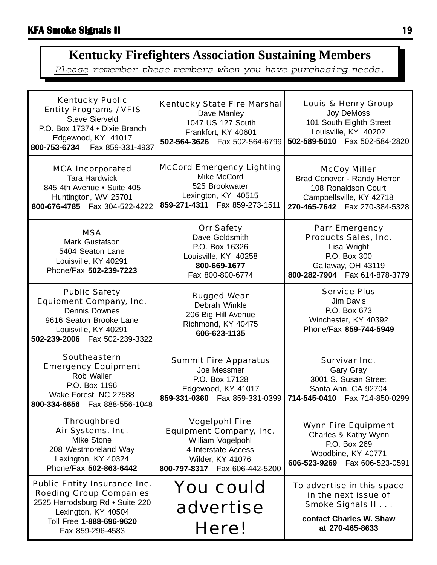## **Kentucky Firefighters Association Sustaining Members**

Please remember these members when you have purchasing needs.

| <b>Kentucky Public</b><br><b>Entity Programs / VFIS</b><br><b>Steve Sierveld</b><br>P.O. Box 17374 . Dixie Branch<br>Edgewood, KY 41017<br>800-753-6734    Fax 859-331-4937     | <b>Kentucky State Fire Marshal</b><br>Dave Manley<br>1047 US 127 South<br>Frankfort, KY 40601<br>502-564-3626    Fax 502-564-6799                                | <b>Louis &amp; Henry Group</b><br>Joy DeMoss<br>101 South Eighth Street<br>Louisville, KY 40202<br>502-589-5010  Fax 502-584-2820             |
|---------------------------------------------------------------------------------------------------------------------------------------------------------------------------------|------------------------------------------------------------------------------------------------------------------------------------------------------------------|-----------------------------------------------------------------------------------------------------------------------------------------------|
| <b>MCA Incorporated</b><br><b>Tara Hardwick</b><br>845 4th Avenue • Suite 405<br>Huntington, WV 25701<br>800-676-4785  Fax 304-522-4222                                         | <b>McCord Emergency Lighting</b><br>Mike McCord<br>525 Brookwater<br>Lexington, KY 40515<br>859-271-4311  Fax 859-273-1511                                       | <b>McCoy Miller</b><br>Brad Conover - Randy Herron<br>108 Ronaldson Court<br>Campbellsville, KY 42718<br>270-465-7642  Fax 270-384-5328       |
| <b>MSA</b><br>Mark Gustafson<br>5404 Seaton Lane<br>Louisville, KY 40291<br>Phone/Fax 502-239-7223                                                                              | <b>Orr Safety</b><br>Dave Goldsmith<br>P.O. Box 16326<br>Louisville, KY 40258<br>800-669-1677<br>Fax 800-800-6774                                                | <b>Parr Emergency</b><br><b>Products Sales, Inc.</b><br>Lisa Wright<br>P.O. Box 300<br>Gallaway, OH 43119<br>800-282-7904    Fax 614-878-3779 |
| <b>Public Safety</b><br><b>Equipment Company, Inc.</b><br><b>Dennis Downes</b><br>9616 Seaton Brooke Lane<br>Louisville, KY 40291<br>502-239-2006  Fax 502-239-3322             | <b>Rugged Wear</b><br>Debrah Winkle<br>206 Big Hill Avenue<br>Richmond, KY 40475<br>606-623-1135                                                                 | <b>Service Plus</b><br>Jim Davis<br>P.O. Box 673<br>Winchester, KY 40392<br>Phone/Fax 859-744-5949                                            |
| <b>Southeastern</b><br><b>Emergency Equipment</b><br>Rob Waller<br>P.O. Box 1196<br>Wake Forest, NC 27588<br>800-334-6656  Fax 888-556-1048                                     | <b>Summit Fire Apparatus</b><br>Joe Messmer<br>P.O. Box 17128<br>Edgewood, KY 41017<br>859-331-0360  Fax 859-331-0399                                            | <b>Survivar Inc.</b><br>Gary Gray<br>3001 S. Susan Street<br>Santa Ann, CA 92704<br>714-545-0410  Fax 714-850-0299                            |
| <b>Throughbred</b><br>Air Systems, Inc.<br><b>Mike Stone</b><br>208 Westmoreland Way<br>Lexington, KY 40324<br>Phone/Fax 502-863-6442                                           | <b>Vogelpohl Fire</b><br><b>Equipment Company, Inc.</b><br>William Vogelpohl<br>4 Interstate Access<br><b>Wilder, KY 41076</b><br>800-797-8317  Fax 606-442-5200 | <b>Wynn Fire Equipment</b><br>Charles & Kathy Wynn<br>P.O. Box 269<br>Woodbine, KY 40771<br>606-523-9269    Fax 606-523-0591                  |
| <b>Public Entity Insurance Inc.</b><br><b>Roeding Group Companies</b><br>2525 Harrodsburg Rd · Suite 220<br>Lexington, KY 40504<br>Toll Free 1-888-696-9620<br>Fax 859-296-4583 | <b>You could</b><br>advertise<br>Here!                                                                                                                           | To advertise in this space<br>in the next issue of<br>Smoke Signals II<br>contact Charles W. Shaw<br>at 270-465-8633                          |